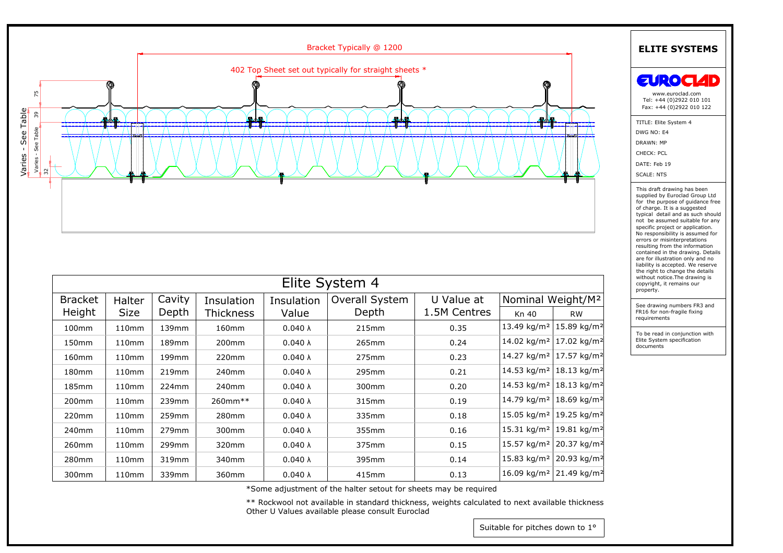

| Bracket Typically @ 1200 |                |                |                                                       |                |                                    |                |              |                                                                                                    |                         |  |  |  |  |  |
|--------------------------|----------------|----------------|-------------------------------------------------------|----------------|------------------------------------|----------------|--------------|----------------------------------------------------------------------------------------------------|-------------------------|--|--|--|--|--|
|                          |                |                |                                                       |                |                                    |                |              |                                                                                                    |                         |  |  |  |  |  |
|                          |                |                | 402 Top Sheet set out typically for straight sheets * |                |                                    |                |              |                                                                                                    |                         |  |  |  |  |  |
|                          |                |                |                                                       |                |                                    |                |              |                                                                                                    |                         |  |  |  |  |  |
|                          |                |                |                                                       |                |                                    | 44             |              |                                                                                                    |                         |  |  |  |  |  |
| ₽₩                       |                |                |                                                       |                |                                    |                |              |                                                                                                    |                         |  |  |  |  |  |
|                          |                |                |                                                       |                |                                    |                |              |                                                                                                    |                         |  |  |  |  |  |
|                          |                |                |                                                       |                |                                    |                |              |                                                                                                    |                         |  |  |  |  |  |
|                          |                |                |                                                       |                |                                    |                |              |                                                                                                    |                         |  |  |  |  |  |
|                          |                |                |                                                       |                |                                    |                |              |                                                                                                    |                         |  |  |  |  |  |
|                          |                |                |                                                       |                |                                    |                |              |                                                                                                    |                         |  |  |  |  |  |
|                          |                |                |                                                       |                |                                    |                |              |                                                                                                    |                         |  |  |  |  |  |
|                          |                |                |                                                       |                |                                    |                |              |                                                                                                    |                         |  |  |  |  |  |
|                          |                |                |                                                       |                |                                    |                |              |                                                                                                    |                         |  |  |  |  |  |
|                          |                |                |                                                       |                |                                    |                |              |                                                                                                    |                         |  |  |  |  |  |
|                          |                |                |                                                       |                |                                    |                |              |                                                                                                    |                         |  |  |  |  |  |
|                          |                |                |                                                       |                |                                    | Elite System 4 |              |                                                                                                    |                         |  |  |  |  |  |
|                          | <b>Bracket</b> | Halter         | Cavity                                                | Insulation     | Insulation                         | Overall System | U Value at   | Nominal Weight/M <sup>2</sup>                                                                      |                         |  |  |  |  |  |
|                          | Height         | <b>Size</b>    | Depth                                                 | Thickness      | Value                              | Depth          | 1.5M Centres | <b>Kn 40</b>                                                                                       | <b>RW</b>               |  |  |  |  |  |
|                          | 100mm          | 110mm          | 139mm                                                 | 160mm          | $0.040 \lambda$                    | 215mm          | 0.35         | 13.49 kg/m <sup>2</sup> 15.89 kg/m <sup>2</sup>                                                    |                         |  |  |  |  |  |
|                          | 150mm          | 110mm          | 189mm                                                 | 200mm          | $0.040 \lambda$                    | 265mm          | 0.24         | 14.02 kg/m <sup>2</sup>                                                                            | 17.02 kg/m <sup>2</sup> |  |  |  |  |  |
|                          | 160mm          | 110mm          | 199mm                                                 | 220mm          | $0.040 \lambda$                    | 275mm          | 0.23         | 14.27 kg/m <sup>2</sup> 17.57 kg/m <sup>2</sup>                                                    |                         |  |  |  |  |  |
|                          | 180mm          | 110mm          | 219mm                                                 | 240mm          | $0.040 \lambda$                    | 295mm          | 0.21         | 14.53 kg/m <sup>2</sup> 18.13 kg/m <sup>2</sup>                                                    |                         |  |  |  |  |  |
|                          | 185mm          | 110mm          | 224mm                                                 | 240mm          | $0.040\;\lambda$                   | $300$ mm       | 0.20         | 14.53 kg/m <sup>2</sup> 18.13 kg/m <sup>2</sup>                                                    |                         |  |  |  |  |  |
|                          | 200mm          | 110mm          | 239mm                                                 | 260mm**        | $0.040 \lambda$                    | 315mm          | 0.19         | 14.79 kg/m <sup>2</sup> 18.69 kg/m <sup>2</sup>                                                    |                         |  |  |  |  |  |
|                          | 220mm          | 110mm          | 259mm                                                 | 280mm          | $0.040 \lambda$                    | 335mm          | 0.18         | 15.05 kg/m <sup>2</sup> 19.25 kg/m <sup>2</sup>                                                    |                         |  |  |  |  |  |
|                          | 240mm          | 110mm          | 279mm                                                 | 300mm          | $0.040 \lambda$                    | 355mm          | 0.16         | 15.31 kg/m <sup>2</sup> 19.81 kg/m <sup>2</sup>                                                    |                         |  |  |  |  |  |
|                          | 260mm          | 110mm          | 299mm                                                 | 320mm          | $0.040 \lambda$                    | 375mm          | 0.15         | 15.57 kg/m <sup>2</sup> 20.37 kg/m <sup>2</sup>                                                    |                         |  |  |  |  |  |
|                          | 280mm<br>300mm | 110mm<br>110mm | 319mm<br>339mm                                        | 340mm<br>360mm | $0.040 \lambda$<br>$0.040 \lambda$ | 395mm<br>415mm | 0.14<br>0.13 | 15.83 kg/m <sup>2</sup> 20.93 kg/m <sup>2</sup><br>16.09 kg/m <sup>2</sup> 21.49 kg/m <sup>2</sup> |                         |  |  |  |  |  |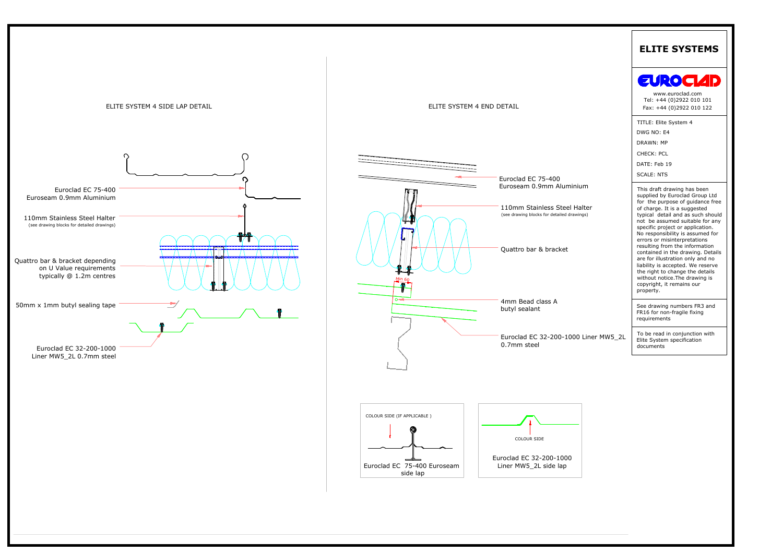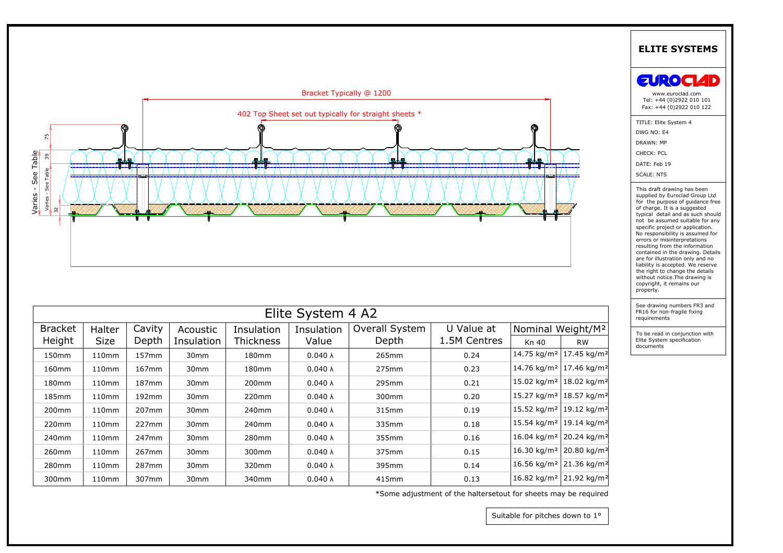

|                   |             |        |                  |                  | Elite System 4 A2 |                |              |                               |                                                   |
|-------------------|-------------|--------|------------------|------------------|-------------------|----------------|--------------|-------------------------------|---------------------------------------------------|
| <b>Bracket</b>    | Halter      | Cavity | Acoustic         | Insulation       | Insulation        | Overall System | U Value at   | Nominal Weight/M <sup>2</sup> |                                                   |
| Height            | <b>Size</b> | Depth  | Insulation       | <b>Thickness</b> | Value             | Depth          | 1.5M Centres | Kn 40                         | <b>RW</b>                                         |
| 150mm             | 110mm       | 157mm  | 30mm             | 180mm            | $0.040 \lambda$   | 265mm          | 0.24         | 14.75 kg/m <sup>2</sup>       | $17.45$ kg/m <sup>2</sup>                         |
| 160mm             | 110mm       | 167mm  | 30 <sub>mm</sub> | 180mm            | $0.040 \lambda$   | 275mm          | 0.23         |                               | 14.76 kg/m <sup>2</sup> 17.46 kg/m <sup>2</sup>   |
| 180mm             | 110mm       | 187mm  | 30mm             | 200mm            | $0.040 \lambda$   | 295mm          | 0.21         |                               | 15.02 kg/m <sup>2</sup>   18.02 kg/m <sup>2</sup> |
| 185mm             | 110mm       | 192mm  | 30mm             | 220mm            | $0.040 \lambda$   | 300mm          | 0.20         |                               | 15.27 kg/m <sup>2</sup>   18.57 kg/m <sup>2</sup> |
| 200 <sub>mm</sub> | 110mm       | 207mm  | 30 <sub>mm</sub> | 240mm            | $0.040 \lambda$   | 315mm          | 0.19         |                               | 15.52 kg/m <sup>2</sup>   19.12 kg/m <sup>2</sup> |
| 220mm             | 110mm       | 227mm  | 30 <sub>mm</sub> | 240mm            | $0.040 \lambda$   | 335mm          | 0.18         |                               | 15.54 kg/m <sup>2</sup>   19.14 kg/m <sup>2</sup> |
| 240mm             | 110mm       | 247mm  | 30mm             | 280mm            | $0.040 \lambda$   | 355mm          | 0.16         |                               | 16.04 kg/m <sup>2</sup> 20.24 kg/m <sup>2</sup>   |
| 260mm             | 110mm       | 267mm  | 30mm             | 300mm            | $0.040 \lambda$   | 375mm          | 0.15         |                               | 16.30 kg/m <sup>2</sup> 20.80 kg/m <sup>2</sup>   |
| 280mm             | 110mm       | 287mm  | 30mm             | 320mm            | $0.040 \lambda$   | 395mm          | 0.14         |                               | 16.56 kg/m <sup>2</sup> 21.36 kg/m <sup>2</sup>   |
| 300mm             | 110mm       | 307mm  | 30mm             | 340mm            | $0.040 \lambda$   | 415mm          | 0.13         |                               | 16.82 kg/m <sup>2</sup> 21.92 kg/m <sup>2</sup>   |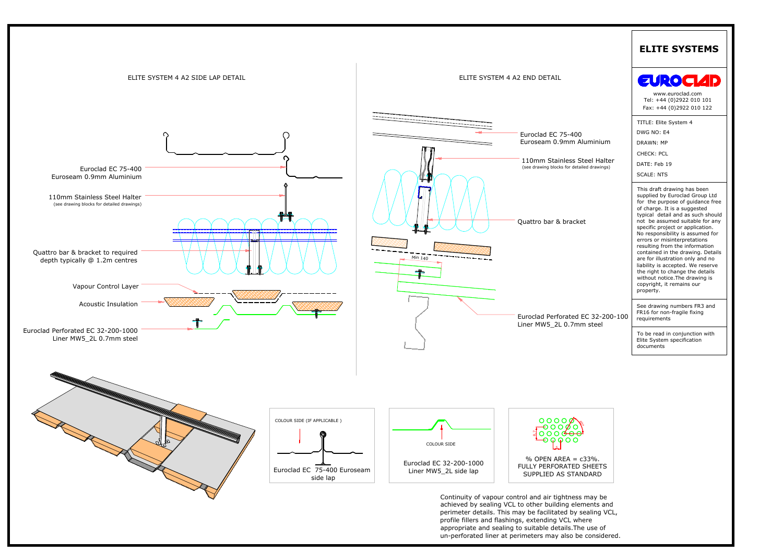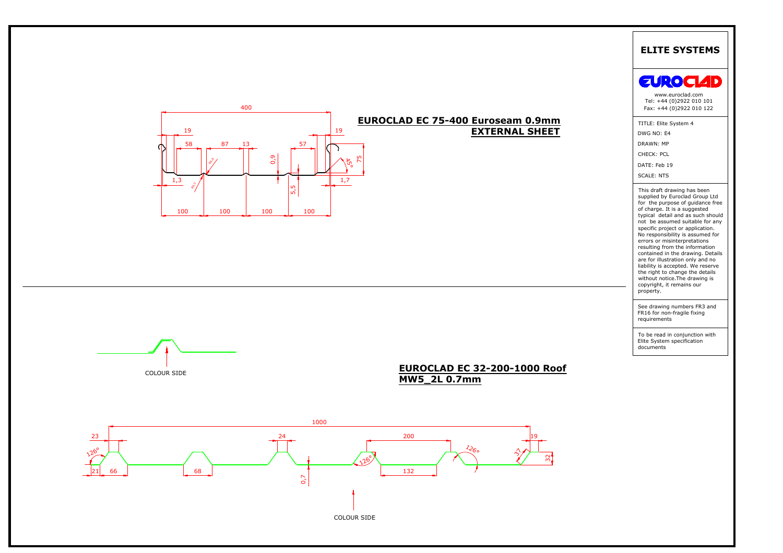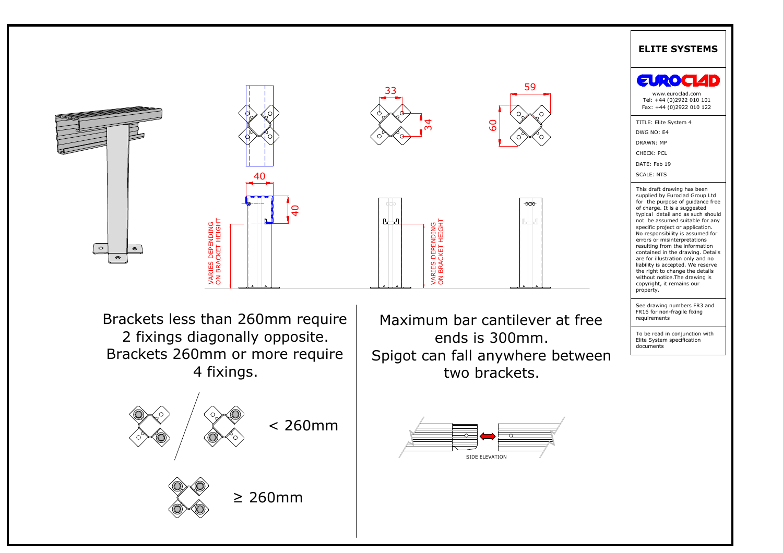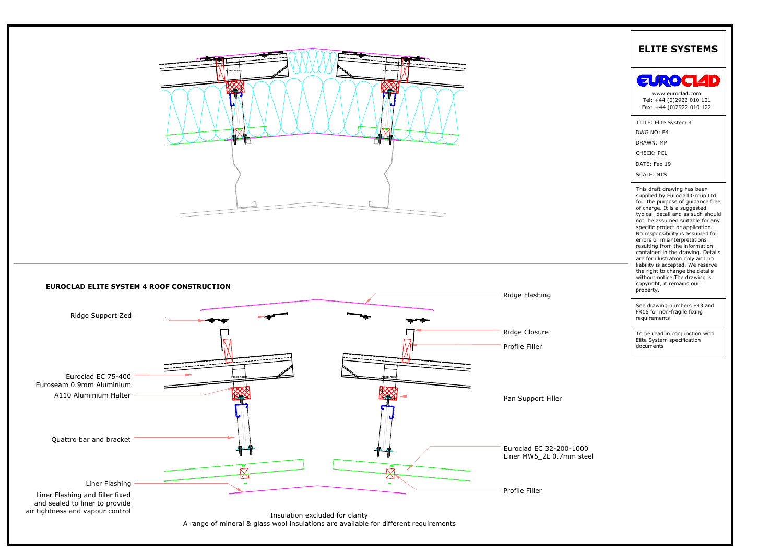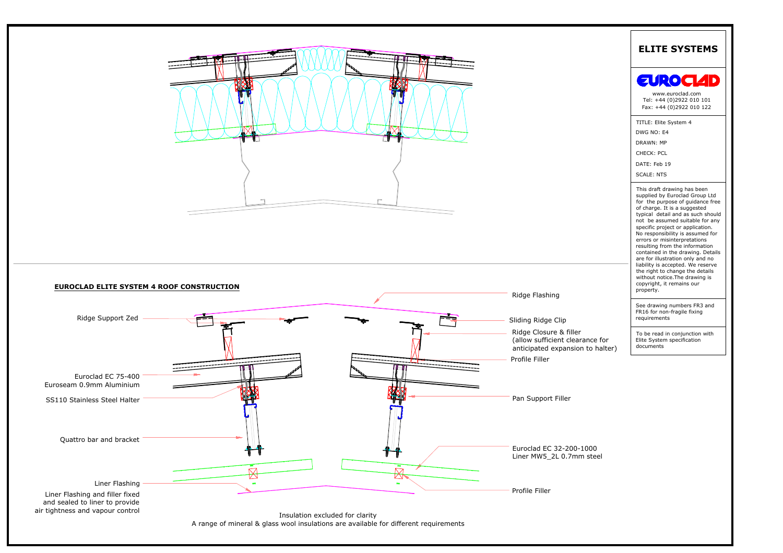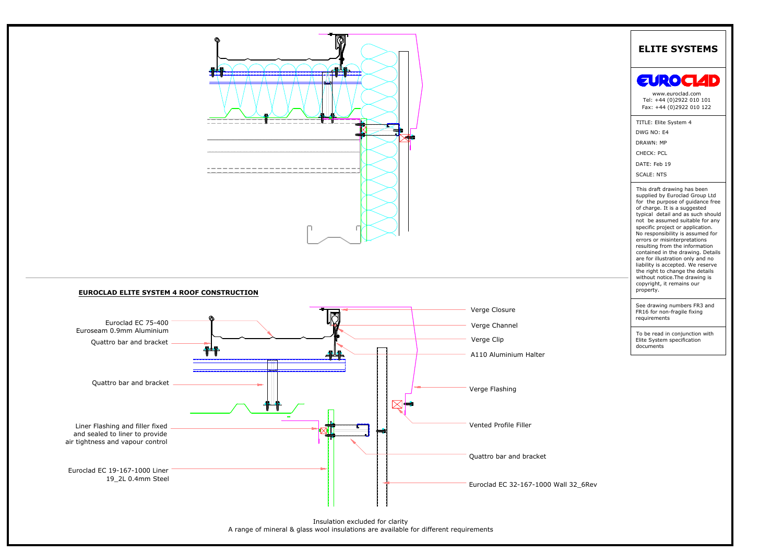

Insulation excluded for clarity<br>A range of mineral & glass wool insulations are available for different reguirements